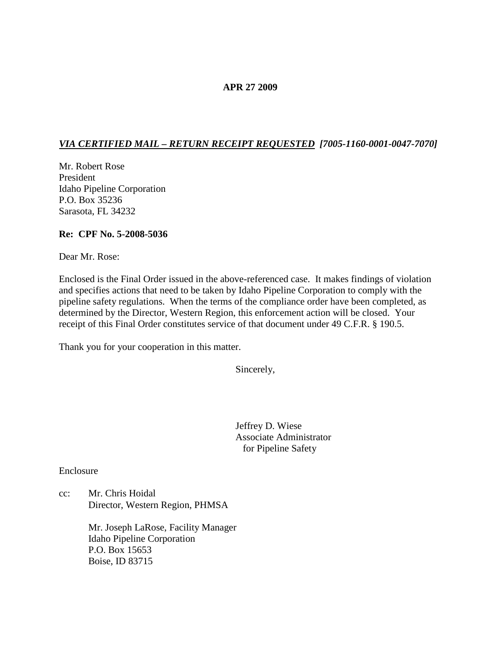#### **APR 27 2009**

# *VIA CERTIFIED MAIL – RETURN RECEIPT REQUESTED [7005-1160-0001-0047-7070]*

Mr. Robert Rose President Idaho Pipeline Corporation P.O. Box 35236 Sarasota, FL 34232

#### **Re: CPF No. 5-2008-5036**

Dear Mr. Rose:

Enclosed is the Final Order issued in the above-referenced case. It makes findings of violation and specifies actions that need to be taken by Idaho Pipeline Corporation to comply with the pipeline safety regulations. When the terms of the compliance order have been completed, as determined by the Director, Western Region, this enforcement action will be closed. Your receipt of this Final Order constitutes service of that document under 49 C.F.R. § 190.5.

Thank you for your cooperation in this matter.

Sincerely,

Jeffrey D. Wiese Associate Administrator for Pipeline Safety

Enclosure

cc: Mr. Chris Hoidal Director, Western Region, PHMSA

> Mr. Joseph LaRose, Facility Manager Idaho Pipeline Corporation P.O. Box 15653 Boise, ID 83715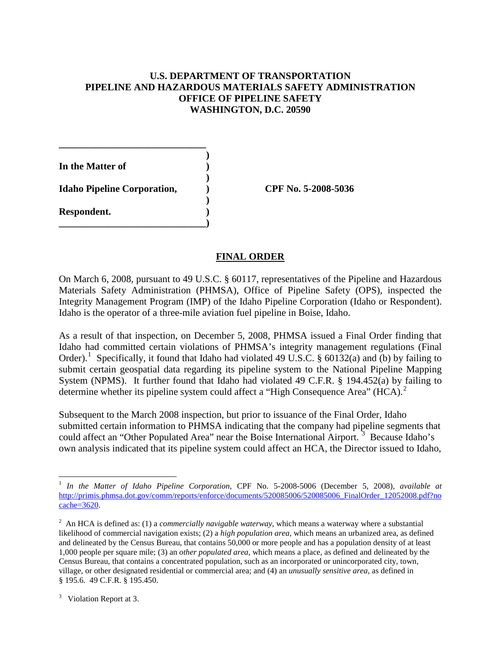## **U.S. DEPARTMENT OF TRANSPORTATION PIPELINE AND HAZARDOUS MATERIALS SAFETY ADMINISTRATION OFFICE OF PIPELINE SAFETY WASHINGTON, D.C. 20590**

**)**

**)**

**In the Matter of ) Idaho Pipeline Corporation, ) CPF No. 5-2008-5036 ) Respondent. ) \_\_\_\_\_\_\_\_\_\_\_\_\_\_\_\_\_\_\_\_\_\_\_\_\_\_\_\_\_\_)**

**\_\_\_\_\_\_\_\_\_\_\_\_\_\_\_\_\_\_\_\_\_\_\_\_\_\_\_\_\_\_**

## **FINAL ORDER**

On March 6, 2008, pursuant to 49 U.S.C. § 60117, representatives of the Pipeline and Hazardous Materials Safety Administration (PHMSA), Office of Pipeline Safety (OPS), inspected the Integrity Management Program (IMP) of the Idaho Pipeline Corporation (Idaho or Respondent). Idaho is the operator of a three-mile aviation fuel pipeline in Boise, Idaho.

As a result of that inspection, on December 5, 2008, PHMSA issued a Final Order finding that Idaho had committed certain violations of PHMSA's integrity management regulations (Final Order).<sup>[1](#page-1-0)</sup> Specifically, it found that Idaho had violated 49 U.S.C. § 60132(a) and (b) by failing to submit certain geospatial data regarding its pipeline system to the National Pipeline Mapping System (NPMS). It further found that Idaho had violated 49 C.F.R. § 194.452(a) by failing to determine whether its pipeline system could affect a "High Consequence Area"  $(HCA)<sup>2</sup>$  $(HCA)<sup>2</sup>$  $(HCA)<sup>2</sup>$ 

Subsequent to the March 2008 inspection, but prior to issuance of the Final Order, Idaho submitted certain information to PHMSA indicating that the company had pipeline segments that could affect an "Other Populated Area" near the Boise International Airport.<sup>[3](#page-1-2)</sup> Because Idaho's own analysis indicated that its pipeline system could affect an HCA, the Director issued to Idaho,

<span id="page-1-0"></span> <sup>1</sup> *In the Matter of Idaho Pipeline Corporation*, CPF No. 5-2008-5006 (December 5, 2008), *available at* [http://primis.phmsa.dot.gov/comm/reports/enforce/documents/520085006/520085006\\_FinalOrder\\_12052008.pdf?no](http://primis.phmsa.dot.gov/comm/reports/enforce/documents/520085006/520085006_FinalOrder_12052008.pdf?nocache=3620) [cache=3620.](http://primis.phmsa.dot.gov/comm/reports/enforce/documents/520085006/520085006_FinalOrder_12052008.pdf?nocache=3620)

<span id="page-1-1"></span><sup>2</sup> An HCA is defined as: (1) a *commercially navigable waterway*, which means a waterway where a substantial likelihood of commercial navigation exists; (2) a *high population area*, which means an urbanized area, as defined and delineated by the Census Bureau, that contains 50,000 or more people and has a population density of at least 1,000 people per square mile; (3) an *other populated area*, which means a place, as defined and delineated by the Census Bureau, that contains a concentrated population, such as an incorporated or unincorporated city, town, village, or other designated residential or commercial area; and (4) an *unusually sensitive area*, as defined in § 195.6. 49 C.F.R. § 195.450.

<span id="page-1-2"></span> $3$  Violation Report at 3.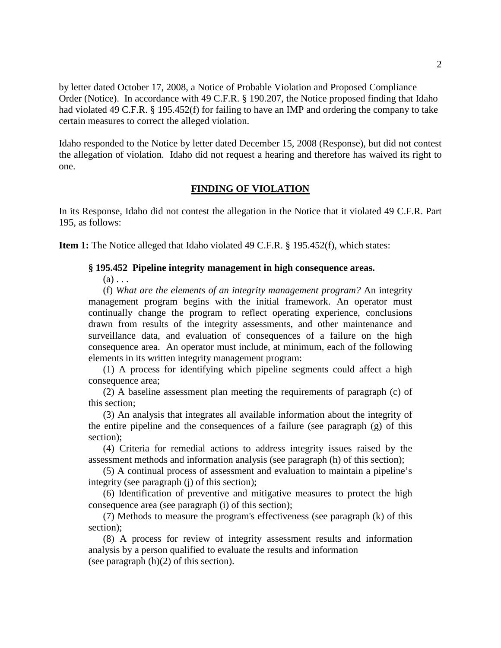by letter dated October 17, 2008, a Notice of Probable Violation and Proposed Compliance Order (Notice). In accordance with 49 C.F.R. § 190.207, the Notice proposed finding that Idaho had violated 49 C.F.R. § 195.452(f) for failing to have an IMP and ordering the company to take certain measures to correct the alleged violation.

Idaho responded to the Notice by letter dated December 15, 2008 (Response), but did not contest the allegation of violation. Idaho did not request a hearing and therefore has waived its right to one.

#### **FINDING OF VIOLATION**

In its Response, Idaho did not contest the allegation in the Notice that it violated 49 C.F.R. Part 195, as follows:

**Item 1:** The Notice alleged that Idaho violated 49 C.F.R. § 195.452(f), which states:

#### **§ 195.452 Pipeline integrity management in high consequence areas.**

 $(a) \ldots$ 

(f) *What are the elements of an integrity management program?* An integrity management program begins with the initial framework. An operator must continually change the program to reflect operating experience, conclusions drawn from results of the integrity assessments, and other maintenance and surveillance data, and evaluation of consequences of a failure on the high consequence area. An operator must include, at minimum, each of the following elements in its written integrity management program:

(1) A process for identifying which pipeline segments could affect a high consequence area;

(2) A baseline assessment plan meeting the requirements of paragraph (c) of this section;

(3) An analysis that integrates all available information about the integrity of the entire pipeline and the consequences of a failure (see paragraph (g) of this section);

(4) Criteria for remedial actions to address integrity issues raised by the assessment methods and information analysis (see paragraph (h) of this section);

(5) A continual process of assessment and evaluation to maintain a pipeline's integrity (see paragraph (j) of this section);

(6) Identification of preventive and mitigative measures to protect the high consequence area (see paragraph (i) of this section);

(7) Methods to measure the program's effectiveness (see paragraph (k) of this section);

(8) A process for review of integrity assessment results and information analysis by a person qualified to evaluate the results and information (see paragraph  $(h)(2)$  of this section).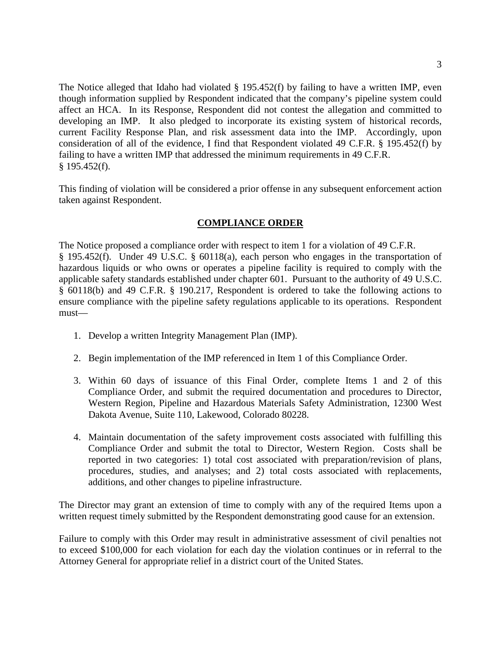The Notice alleged that Idaho had violated § 195.452(f) by failing to have a written IMP, even though information supplied by Respondent indicated that the company's pipeline system could affect an HCA. In its Response, Respondent did not contest the allegation and committed to developing an IMP. It also pledged to incorporate its existing system of historical records, current Facility Response Plan, and risk assessment data into the IMP. Accordingly, upon consideration of all of the evidence, I find that Respondent violated 49 C.F.R. § 195.452(f) by failing to have a written IMP that addressed the minimum requirements in 49 C.F.R. § 195.452(f).

This finding of violation will be considered a prior offense in any subsequent enforcement action taken against Respondent.

## **COMPLIANCE ORDER**

The Notice proposed a compliance order with respect to item 1 for a violation of 49 C.F.R. § 195.452(f). Under 49 U.S.C. § 60118(a), each person who engages in the transportation of hazardous liquids or who owns or operates a pipeline facility is required to comply with the applicable safety standards established under chapter 601. Pursuant to the authority of 49 U.S.C. § 60118(b) and 49 C.F.R. § 190.217, Respondent is ordered to take the following actions to ensure compliance with the pipeline safety regulations applicable to its operations. Respondent must—

- 1. Develop a written Integrity Management Plan (IMP).
- 2. Begin implementation of the IMP referenced in Item 1 of this Compliance Order.
- 3. Within 60 days of issuance of this Final Order, complete Items 1 and 2 of this Compliance Order, and submit the required documentation and procedures to Director, Western Region, Pipeline and Hazardous Materials Safety Administration, 12300 West Dakota Avenue, Suite 110, Lakewood, Colorado 80228.
- 4. Maintain documentation of the safety improvement costs associated with fulfilling this Compliance Order and submit the total to Director, Western Region. Costs shall be reported in two categories: 1) total cost associated with preparation/revision of plans, procedures, studies, and analyses; and 2) total costs associated with replacements, additions, and other changes to pipeline infrastructure.

The Director may grant an extension of time to comply with any of the required Items upon a written request timely submitted by the Respondent demonstrating good cause for an extension.

Failure to comply with this Order may result in administrative assessment of civil penalties not to exceed \$100,000 for each violation for each day the violation continues or in referral to the Attorney General for appropriate relief in a district court of the United States.